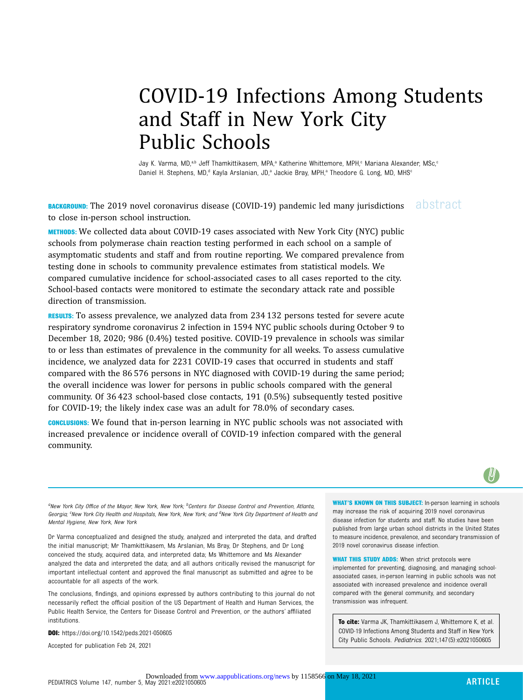# COVID-19 Infections Among Students and Staff in New York City Public Schools

Jay K. Varma, MD,<sup>a,b</sup> Jeff Thamkittikasem, MPA,<sup>a</sup> Katherine Whittemore, MPH,<sup>c</sup> Mariana Alexander, MSc,<sup>c</sup> Daniel H. Stephens, MD,<sup>d</sup> Kayla Arslanian, JD,<sup>a</sup> Jackie Bray, MPH,<sup>a</sup> Theodore G. Long, MD, MHS<sup>c</sup>

**BACKGROUND:** The 2019 novel coronavirus disease (COVID-19) pandemic led many jurisdictions abstract to close in-person school instruction.

METHODS: We collected data about COVID-19 cases associated with New York City (NYC) public schools from polymerase chain reaction testing performed in each school on a sample of asymptomatic students and staff and from routine reporting. We compared prevalence from testing done in schools to community prevalence estimates from statistical models. We compared cumulative incidence for school-associated cases to all cases reported to the city. School-based contacts were monitored to estimate the secondary attack rate and possible direction of transmission.

RESULTS: To assess prevalence, we analyzed data from 234 132 persons tested for severe acute respiratory syndrome coronavirus 2 infection in 1594 NYC public schools during October 9 to December 18, 2020; 986 (0.4%) tested positive. COVID-19 prevalence in schools was similar to or less than estimates of prevalence in the community for all weeks. To assess cumulative incidence, we analyzed data for 2231 COVID-19 cases that occurred in students and staff compared with the 86 576 persons in NYC diagnosed with COVID-19 during the same period; the overall incidence was lower for persons in public schools compared with the general community. Of 36 423 school-based close contacts, 191 (0.5%) subsequently tested positive for COVID-19; the likely index case was an adult for 78.0% of secondary cases.

CONCLUSIONS: We found that in-person learning in NYC public schools was not associated with increased prevalence or incidence overall of COVID-19 infection compared with the general community.



 ${}^a$ New York City Office of the Mayor, New York, New York;  ${}^b$ Centers for Disease Control and Prevention, Atlanta, Georgia; <sup>c</sup>New York City Health and Hospitals, New York, New York; and <sup>d</sup>New York City Department of Health and Mental Hygiene, New York, New York

Dr Varma conceptualized and designed the study, analyzed and interpreted the data, and drafted the initial manuscript; Mr Thamkittikasem, Ms Arslanian, Ms Bray, Dr Stephens, and Dr Long conceived the study, acquired data, and interpreted data; Ms Whittemore and Ms Alexander analyzed the data and interpreted the data; and all authors critically revised the manuscript for important intellectual content and approved the final manuscript as submitted and agree to be accountable for all aspects of the work.

The conclusions, findings, and opinions expressed by authors contributing to this journal do not necessarily reflect the official position of the US Department of Health and Human Services, the Public Health Service, the Centers for Disease Control and Prevention, or the authors' affiliated institutions.

DOI: <https://doi.org/10.1542/peds.2021-050605>

Accepted for publication Feb 24, 2021

WHAT'S KNOWN ON THIS SUBJECT: In-person learning in schools may increase the risk of acquiring 2019 novel coronavirus disease infection for students and staff. No studies have been published from large urban school districts in the United States to measure incidence, prevalence, and secondary transmission of 2019 novel coronavirus disease infection.

WHAT THIS STUDY ADDS: When strict protocols were implemented for preventing, diagnosing, and managing schoolassociated cases, in-person learning in public schools was not associated with increased prevalence and incidence overall compared with the general community, and secondary transmission was infrequent.

To cite: Varma JK, Thamkittikasem J, Whittemore K, et al. COVID-19 Infections Among Students and Staff in New York City Public Schools. Pediatrics. 2021;147(5):e2021050605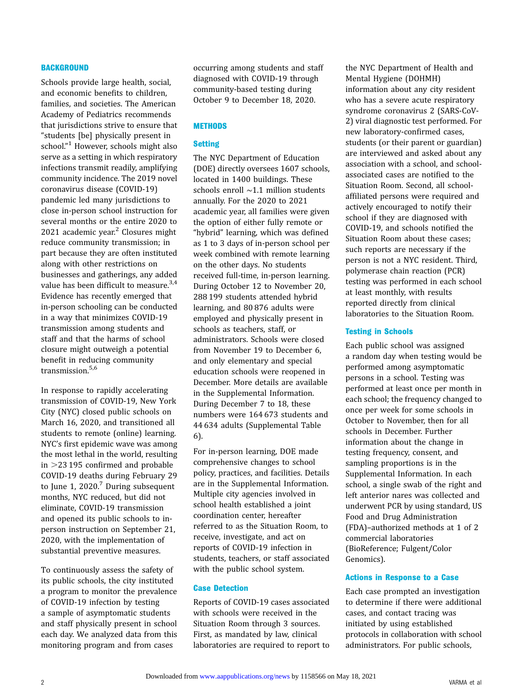### **BACKGROUND**

Schools provide large health, social, and economic benefits to children, families, and societies. The American Academy of Pediatrics recommends that jurisdictions strive to ensure that "students [be] physically present in school." [1](#page-7-0) However, schools might also serve as a setting in which respiratory infections transmit readily, amplifying community incidence. The 2019 novel coronavirus disease (COVID-19) pandemic led many jurisdictions to close in-person school instruction for several months or the entire 2020 to [2](#page-7-0)021 academic year. $2$  Closures might reduce community transmission; in part because they are often instituted along with other restrictions on businesses and gatherings, any added value has been difficult to measure.<sup>3,4</sup> Evidence has recently emerged that in-person schooling can be conducted in a way that minimizes COVID-19 transmission among students and staff and that the harms of school closure might outweigh a potential benefit in reducing community transmission.<sup>[5,6](#page-7-0)</sup>

In response to rapidly accelerating transmission of COVID-19, New York City (NYC) closed public schools on March 16, 2020, and transitioned all students to remote (online) learning. NYC's first epidemic wave was among the most lethal in the world, resulting in  $>$ 23 195 confirmed and probable COVID-19 deaths during February 29 to June 1,  $2020$ .<sup>[7](#page-7-0)</sup> During subsequent months, NYC reduced, but did not eliminate, COVID-19 transmission and opened its public schools to inperson instruction on September 21, 2020, with the implementation of substantial preventive measures.

To continuously assess the safety of its public schools, the city instituted a program to monitor the prevalence of COVID-19 infection by testing a sample of asymptomatic students and staff physically present in school each day. We analyzed data from this monitoring program and from cases

occurring among students and staff diagnosed with COVID-19 through community-based testing during October 9 to December 18, 2020.

## **METHODS**

#### Setting

The NYC Department of Education (DOE) directly oversees 1607 schools, located in 1400 buildings. These schools enroll ∼1.1 million students annually. For the 2020 to 2021 academic year, all families were given the option of either fully remote or "hybrid" learning, which was defined as 1 to 3 days of in-person school per week combined with remote learning on the other days. No students received full-time, in-person learning. During October 12 to November 20, 288 199 students attended hybrid learning, and 80 876 adults were employed and physically present in schools as teachers, staff, or administrators. Schools were closed from November 19 to December 6, and only elementary and special education schools were reopened in December. More details are available in the [Supplemental Information.](https://pediatrics.aappublications.org/lookup/suppl/doi:10.1542/peds.2021-050605/-/DCSupplemental/) During December 7 to 18, these numbers were 164 673 students and 44 634 adults ([Supplemental Table](https://pediatrics.aappublications.org/lookup/suppl/doi:10.1542/peds.2021-050605/-/DCSupplemental/) [6](https://pediatrics.aappublications.org/lookup/suppl/doi:10.1542/peds.2021-050605/-/DCSupplemental/)).

For in-person learning, DOE made comprehensive changes to school policy, practices, and facilities. Details are in the [Supplemental Information.](https://pediatrics.aappublications.org/lookup/suppl/doi:10.1542/peds.2021-050605/-/DCSupplemental/) Multiple city agencies involved in school health established a joint coordination center, hereafter referred to as the Situation Room, to receive, investigate, and act on reports of COVID-19 infection in students, teachers, or staff associated with the public school system.

#### Case Detection

Reports of COVID-19 cases associated with schools were received in the Situation Room through 3 sources. First, as mandated by law, clinical laboratories are required to report to the NYC Department of Health and Mental Hygiene (DOHMH) information about any city resident who has a severe acute respiratory syndrome coronavirus 2 (SARS-CoV-2) viral diagnostic test performed. For new laboratory-confirmed cases, students (or their parent or guardian) are interviewed and asked about any association with a school, and schoolassociated cases are notified to the Situation Room. Second, all schoolaffiliated persons were required and actively encouraged to notify their school if they are diagnosed with COVID-19, and schools notified the Situation Room about these cases; such reports are necessary if the person is not a NYC resident. Third, polymerase chain reaction (PCR) testing was performed in each school at least monthly, with results reported directly from clinical laboratories to the Situation Room.

# Testing in Schools

Each public school was assigned a random day when testing would be performed among asymptomatic persons in a school. Testing was performed at least once per month in each school; the frequency changed to once per week for some schools in October to November, then for all schools in December. Further information about the change in testing frequency, consent, and sampling proportions is in the [Supplemental Information](https://pediatrics.aappublications.org/lookup/suppl/doi:10.1542/peds.2021-050605/-/DCSupplemental/). In each school, a single swab of the right and left anterior nares was collected and underwent PCR by using standard, US Food and Drug Administration (FDA)–authorized methods at 1 of 2 commercial laboratories (BioReference; Fulgent/Color Genomics).

#### Actions in Response to a Case

Each case prompted an investigation to determine if there were additional cases, and contact tracing was initiated by using established protocols in collaboration with school administrators. For public schools,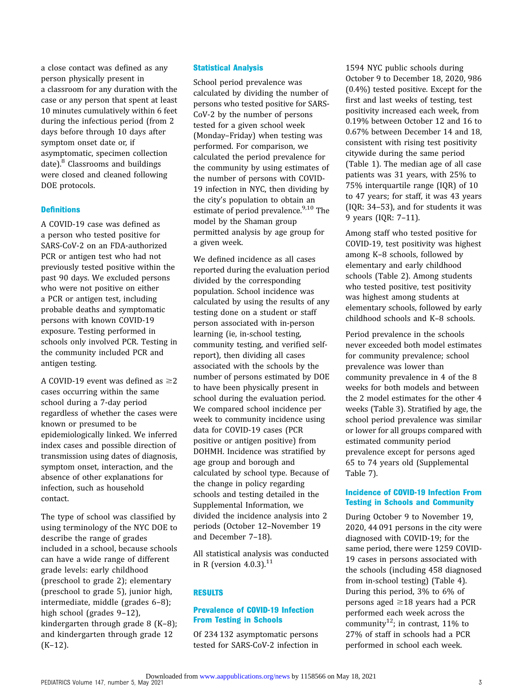a close contact was defined as any person physically present in a classroom for any duration with the case or any person that spent at least 10 minutes cumulatively within 6 feet during the infectious period (from 2 days before through 10 days after symptom onset date or, if asymptomatic, specimen collection date). $8$  Classrooms and buildings were closed and cleaned following DOE protocols.

#### **Definitions**

A COVID-19 case was defined as a person who tested positive for SARS-CoV-2 on an FDA-authorized PCR or antigen test who had not previously tested positive within the past 90 days. We excluded persons who were not positive on either a PCR or antigen test, including probable deaths and symptomatic persons with known COVID-19 exposure. Testing performed in schools only involved PCR. Testing in the community included PCR and antigen testing.

A COVID-19 event was defined as  $\geq$ 2 cases occurring within the same school during a 7-day period regardless of whether the cases were known or presumed to be epidemiologically linked. We inferred index cases and possible direction of transmission using dates of diagnosis, symptom onset, interaction, and the absence of other explanations for infection, such as household contact.

The type of school was classified by using terminology of the NYC DOE to describe the range of grades included in a school, because schools can have a wide range of different grade levels: early childhood (preschool to grade 2); elementary (preschool to grade 5), junior high, intermediate, middle (grades 6–8); high school (grades 9-12), kindergarten through grade 8 (K–8); and kindergarten through grade 12 (K–12).

# Statistical Analysis

School period prevalence was calculated by dividing the number of persons who tested positive for SARS-CoV-2 by the number of persons tested for a given school week (Monday–Friday) when testing was performed. For comparison, we calculated the period prevalence for the community by using estimates of the number of persons with COVID-19 infection in NYC, then dividing by the city's population to obtain an estimate of period prevalence.<sup>[9,10](#page-7-0)</sup> The model by the Shaman group permitted analysis by age group for a given week.

We defined incidence as all cases reported during the evaluation period divided by the corresponding population. School incidence was calculated by using the results of any testing done on a student or staff person associated with in-person learning (ie, in-school testing, community testing, and verified selfreport), then dividing all cases associated with the schools by the number of persons estimated by DOE to have been physically present in school during the evaluation period. We compared school incidence per week to community incidence using data for COVID-19 cases (PCR positive or antigen positive) from DOHMH. Incidence was stratified by age group and borough and calculated by school type. Because of the change in policy regarding schools and testing detailed in the [Supplemental Information,](https://pediatrics.aappublications.org/lookup/suppl/doi:10.1542/peds.2021-050605/-/DCSupplemental/) we divided the incidence analysis into 2 periods (October 12–November 19 and December 7–18).

All statistical analysis was conducted in R (version  $4.0.3$ ). $^{11}$  $^{11}$  $^{11}$ 

#### RESULTS

# Prevalence of COVID-19 Infection From Testing in Schools

Of 234 132 asymptomatic persons tested for SARS-CoV-2 infection in 1594 NYC public schools during October 9 to December 18, 2020, 986 (0.4%) tested positive. Except for the first and last weeks of testing, test positivity increased each week, from 0.19% between October 12 and 16 to 0.67% between December 14 and 18, consistent with rising test positivity citywide during the same period (Table 1). The median age of all case patients was 31 years, with 25% to 75% interquartile range (IQR) of 10 to 47 years; for staff, it was 43 years (IQR: 34–53), and for students it was 9 years (IQR: 7–11).

Among staff who tested positive for COVID-19, test positivity was highest among K–8 schools, followed by elementary and early childhood schools (Table 2). Among students who tested positive, test positivity was highest among students at elementary schools, followed by early childhood schools and K–8 schools.

Period prevalence in the schools never exceeded both model estimates for community prevalence; school prevalence was lower than community prevalence in 4 of the 8 weeks for both models and between the 2 model estimates for the other 4 weeks (Table 3). Stratified by age, the school period prevalence was similar or lower for all groups compared with estimated community period prevalence except for persons aged 65 to 74 years old [\(Supplemental](https://pediatrics.aappublications.org/lookup/suppl/doi:10.1542/peds.2021-050605/-/DCSupplemental/) [Table 7](https://pediatrics.aappublications.org/lookup/suppl/doi:10.1542/peds.2021-050605/-/DCSupplemental/)).

#### Incidence of COVID-19 Infection From Testing in Schools and Community

During October 9 to November 19, 2020, 44 091 persons in the city were diagnosed with COVID-19; for the same period, there were 1259 COVID-19 cases in persons associated with the schools (including 458 diagnosed from in-school testing) (Table 4). During this period, 3% to 6% of persons aged  $\geq$ 18 years had a PCR performed each week across the community<sup>12</sup>; in contrast, 11% to 27% of staff in schools had a PCR performed in school each week.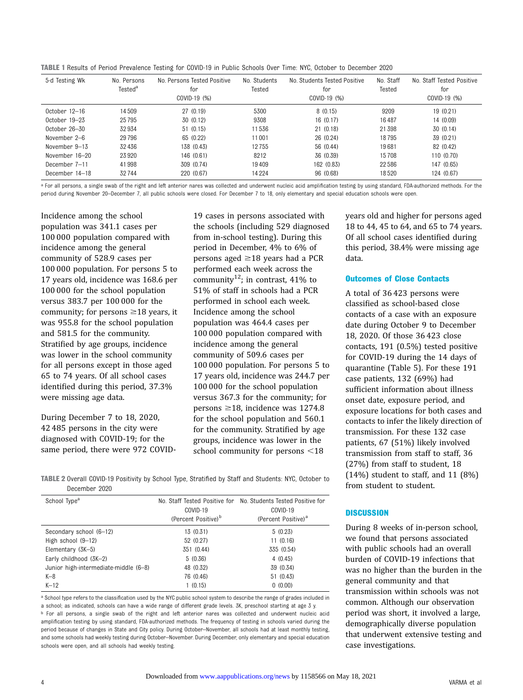TABLE 1 Results of Period Prevalence Testing for COVID-19 in Public Schools Over Time: NYC, October to December 2020

| 5-d Testing Wk       | No. Persons<br>Tested <sup>a</sup> | No. Persons Tested Positive<br>for<br>COVID-19 (%) | No. Students<br>Tested | No. Students Tested Positive<br>for<br>COVID-19 (%) | No. Staff<br>Tested | No. Staff Tested Positive<br>for<br>COVID-19 (%) |
|----------------------|------------------------------------|----------------------------------------------------|------------------------|-----------------------------------------------------|---------------------|--------------------------------------------------|
| $0$ ctober $12-16$   | 14 509                             | 27(0.19)                                           | 5300                   | 8(0.15)                                             | 9209                | 19(0.21)                                         |
| October 19-23        | 25 7 95                            | 30(0.12)                                           | 9308                   | 16(0.17)                                            | 16487               | 14 (0.09)                                        |
| $0$ ctober $26 - 30$ | 32934                              | 51(0.15)                                           | 11536                  | 21(0.18)                                            | 21 3 98             | 30(0.14)                                         |
| November 2–6         | 29796                              | 65 (0.22)                                          | 11001                  | 26 (0.24)                                           | 18795               | 39 (0.21)                                        |
| November 9-13        | 32436                              | 138 (0.43)                                         | 12755                  | 56 (0.44)                                           | 19681               | 82 (0.42)                                        |
| November 16-20       | 23920                              | 146 (0.61)                                         | 8212                   | 36 (0.39)                                           | 15708               | 110(0.70)                                        |
| December 7-11        | 41998                              | 309 (0.74)                                         | 19409                  | 162 (0.83)                                          | 22586               | 147 (0.65)                                       |
| December 14-18       | 32744                              | 220 (0.67)                                         | 14 2 24                | 96 (0.68)                                           | 18520               | 124 (0.67)                                       |

a For all persons, a single swab of the right and left anterior nares was collected and underwent nucleic acid amplification testing by using standard, FDA-authorized methods. For the period during November 20–December 7, all public schools were closed. For December 7 to 18, only elementary and special education schools were open.

Incidence among the school population was 341.1 cases per 100 000 population compared with incidence among the general community of 528.9 cases per 100 000 population. For persons 5 to 17 years old, incidence was 168.6 per 100 000 for the school population versus 383.7 per 100 000 for the community; for persons  $\geq$  18 years, it was 955.8 for the school population and 581.5 for the community. Stratified by age groups, incidence was lower in the school community for all persons except in those aged 65 to 74 years. Of all school cases identified during this period, 37.3% were missing age data.

During December 7 to 18, 2020, 42 485 persons in the city were diagnosed with COVID-19; for the same period, there were 972 COVID- 19 cases in persons associated with the schools (including 529 diagnosed from in-school testing). During this period in December, 4% to 6% of persons aged  $\geq 18$  years had a PCR performed each week across the community<sup>12</sup>; in contrast, 41% to 51% of staff in schools had a PCR performed in school each week. Incidence among the school population was 464.4 cases per 100 000 population compared with incidence among the general community of 509.6 cases per 100 000 population. For persons 5 to 17 years old, incidence was 244.7 per 100 000 for the school population versus 367.3 for the community; for persons  $\geq$ 18, incidence was 1274.8 for the school population and 560.1 for the community. Stratified by age groups, incidence was lower in the school community for persons  $<$ 18

TABLE 2 Overall COVID-19 Positivity by School Type, Stratified by Staff and Students: NYC, October to December 2020

| COVID-19<br>(Percent Positive) <sup>b</sup> | No. Staff Tested Positive for No. Students Tested Positive for<br>COVID-19<br>(Percent Positive) <sup>a</sup> |
|---------------------------------------------|---------------------------------------------------------------------------------------------------------------|
| 13 (0.31)                                   | 5(0.23)                                                                                                       |
| 52 (0.27)                                   | 11(0.16)                                                                                                      |
| 351 (0.44)                                  | 335 (0.54)                                                                                                    |
| 5(0.36)                                     | 4(0.45)                                                                                                       |
| 48 (0.32)                                   | 39 (0.34)                                                                                                     |
| 76 (0.46)                                   | 51 (0.43)                                                                                                     |
| 1(0.15)                                     | 0(0.00)                                                                                                       |
|                                             |                                                                                                               |

<sup>a</sup> School type refers to the classification used by the NYC public school system to describe the range of grades included in a school; as indicated, schools can have a wide range of different grade levels. 3K, preschool starting at age 3 y. b For all persons, a single swab of the right and left anterior nares was collected and underwent nucleic acid amplification testing by using standard, FDA-authorized methods. The frequency of testing in schools varied during the period because of changes in State and City policy. During October–November, all schools had at least monthly testing, and some schools had weekly testing during October–November. During December, only elementary and special education schools were open, and all schools had weekly testing.

years old and higher for persons aged 18 to 44, 45 to 64, and 65 to 74 years. Of all school cases identified during this period, 38.4% were missing age data.

## Outcomes of Close Contacts

A total of 36 423 persons were classified as school-based close contacts of a case with an exposure date during October 9 to December 18, 2020. Of those 36 423 close contacts, 191 (0.5%) tested positive for COVID-19 during the 14 days of quarantine (Table 5). For these 191 case patients, 132 (69%) had sufficient information about illness onset date, exposure period, and exposure locations for both cases and contacts to infer the likely direction of transmission. For these 132 case patients, 67 (51%) likely involved transmission from staff to staff, 36 (27%) from staff to student, 18  $(14%)$  student to staff, and 11  $(8%)$ from student to student.

#### **DISCUSSION**

During 8 weeks of in-person school, we found that persons associated with public schools had an overall burden of COVID-19 infections that was no higher than the burden in the general community and that transmission within schools was not common. Although our observation period was short, it involved a large, demographically diverse population that underwent extensive testing and case investigations.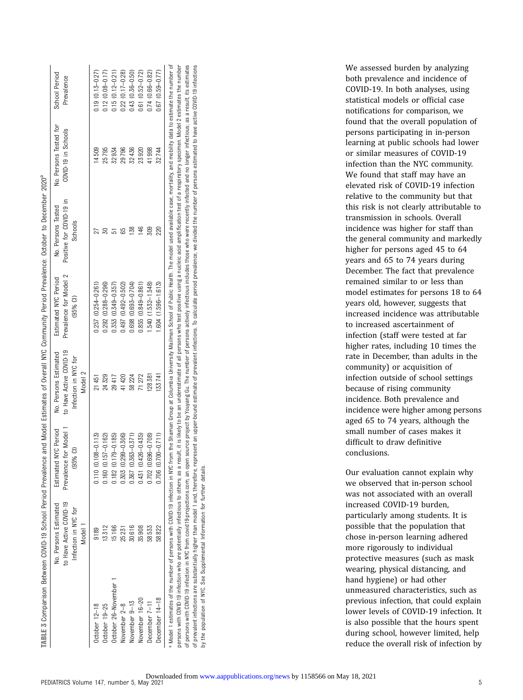|                     | to Have Active COVID-19<br>No. Persons Estimated<br>Infection in NYC for<br>Model 1 | Prevalence for Model 1<br>Estimated NYC Period<br>$(95%$ CI) | to Have Active COVID-19<br>No. Persons Estimated<br>Infection in NYC for<br>Model <sub>2</sub> | Prevalence for Model 2<br>Estimated NYC Period<br>$(95%$ CI) | Positive for COVID-19 in<br>No. Persons Tested<br>Schools | No. Persons Tested for<br>COVID-19 in Schools | School Period<br>Prevalence |
|---------------------|-------------------------------------------------------------------------------------|--------------------------------------------------------------|------------------------------------------------------------------------------------------------|--------------------------------------------------------------|-----------------------------------------------------------|-----------------------------------------------|-----------------------------|
| October 12-18       | 9189                                                                                | $0.110(0.108 - 0.113)$                                       | 21451                                                                                          | $0.257(0.254 - 0.261)$                                       |                                                           | 14509                                         | $0.19(0.13 - 0.27)$         |
| October 19-25       | 13312                                                                               | $0.157 - 0.162$<br>1160 <sub>1</sub>                         | 24329                                                                                          | $0.292(0.288 - 0.296)$                                       |                                                           | 25795                                         | $0.12(0.08 - 0.17)$         |
| October 26-November | 15166                                                                               | $0.179 - 0.185$<br>182                                       | 29417                                                                                          | $0.355(0.349 - 0.357)$                                       |                                                           | 32934                                         | $0.15(0.12 - 0.21)$         |
| November 2-8        | 25 231                                                                              | $0.299 - 0.306$<br>0.303                                     | 41420                                                                                          | $0.497(0.492 - 0.502)$                                       |                                                           | 29796                                         | $0.22$ $(0.17 - 0.28)$      |
| November 9-13       | 30616                                                                               | $0.363 - 0.371$<br>0.367                                     | 58224                                                                                          | $0.698(0.693 - 0.704)$                                       |                                                           | 32436                                         | $0.43(0.36 - 0.50)$         |
| November 16-20      | 35908                                                                               | $0.426 - 0.435$<br>0.431                                     | 71272                                                                                          | $0.855(0.849 - 0.861)$                                       |                                                           | 23920                                         | $0.61(0.52 - 0.72)$         |
| December 7-11       | 58533                                                                               | $0.696 - 0.708$<br>0.702(                                    | 128381                                                                                         | 540 (1.532-1.548)                                            | 309                                                       | 41998                                         | $0.74(0.66 - 0.82)$         |
| December 14-18      | 58822                                                                               | $0.700 - 0.711$<br>0.706                                     | 33741                                                                                          | $.604(1.596 - 1.613)$                                        | 220                                                       | 32744                                         | $0.67$ $(0.59 - 0.77)$      |

infectious; as a result, its estimates estimated to have active COVID-19 infections of persons with CDVID-19 infection in NYC from [covid19-projections.com](http://covid19-projections.com), an open source project ty Youyang Gu. The number of persons actively infectious who were recently infected and no longer infectious; as a result, its of prevalent infections are substantially higher than model 1 and, therefore, represent an upper-bound estimate of prevalent infections. To calculate period prevalence, we divided the number of persons estimated to have ac Youyang Gu. The number of persons actively infectious includes those who were recently infected and no longer persons  $\overline{\mathfrak{h}}$ we divided the number To calculate period prevalence, of prevalent infections. estimate upper-bound of persons with COVID-19 infection in NYC from covid19-projections.com, an open source project by substantially higher than model 1 and, therefore, represent an by the population of NYC. See [Supplemental](https://pediatrics.aappublications.org/lookup/suppl/doi:10.1542/peds.2021-050605/-/DCSupplemental/) Information for further details. See Supplemental Information for further details prevalent infections are the population of NYC.  $\geq$  $\overline{\circ}$ 

both prevalence and incidence of COVID-19. In both analyses, using statistical models or official case notifications for comparison, we found that the overall population of persons participating in in-person learning at public schools had lower or similar measures of COVID-19 infection than the NYC community. We found that staff may have an elevated risk of COVID-19 infection relative to the community but that this risk is not clearly attributable to transmission in schools. Overall incidence was higher for staff than the general community and markedly higher for persons aged 45 to 64 years and 65 to 74 years during December. The fact that prevalence remained similar to or less than model estimates for persons 18 to 64 years old, however, suggests that increased incidence was attributable to increased ascertainment of infection (staff were tested at far higher rates, including 10 times the rate in December, than adults in the community) or acquisition of infection outside of school settings because of rising community incidence. Both prevalence and incidence were higher among persons aged 65 to 74 years, although the small number of cases makes it difficult to draw definitive conclusions.

We assessed burden by analyzing

Our evaluation cannot explain why we observed that in-person school was not associated with an overall increased COVID-19 burden, particularly among students. It is possible that the population that chose in-person learning adhered more rigorously to individual protective measures (such as mask wearing, physical distancing, and hand hygiene) or had other unmeasured characteristics, such as previous infection, that could explain lower levels of COVID-19 infection. It is also possible that the hours spent during school, however limited, help reduce the overall risk of infection by

PEDIATRICS Volume 147, number 5, May 2021 6. 2021 6. 2021 6. 2021 6. 2021 6. 2021 6. 2021 6. 2021 6. 2021 6. 2021 6. 2021 6. 2021 6. 2021 6. 2021 6. 2021 6. 2021 6. 2021 6. 2021 6. 2021 6. 2021 6. 2021 6. 2021 6. 2021 6. 2 Downloaded from www.aappublications.org/news by 1158566 on May 18, 2021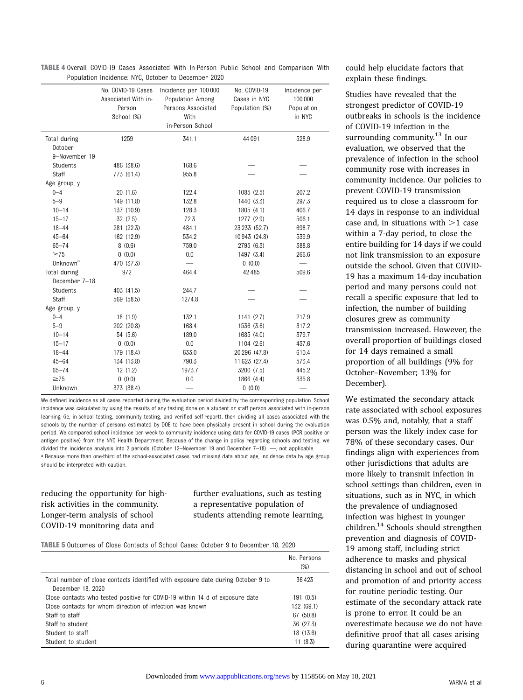| <b>TABLE 4</b> Overall COVID-19 Cases Associated With In-Person Public School and Comparison With |  |                                                     |  |  |  |  |
|---------------------------------------------------------------------------------------------------|--|-----------------------------------------------------|--|--|--|--|
|                                                                                                   |  | Population Incidence: NYC. October to December 2020 |  |  |  |  |

|                      | r opalation molaonoo. HTO, ootobor to Dooombor |                       |                |               |
|----------------------|------------------------------------------------|-----------------------|----------------|---------------|
|                      | No. COVID-19 Cases                             | Incidence per 100 000 | No. COVID-19   | Incidence per |
|                      | Associated With in-                            | Population Among      | Cases in NYC   | 100 000       |
|                      | Person                                         | Persons Associated    | Population (%) | Population    |
|                      | School (%)                                     | With                  |                | in NYC        |
|                      |                                                | in-Person School      |                |               |
| Total during         | 1259                                           | 341.1                 | 44 091         | 528.9         |
| October              |                                                |                       |                |               |
| 9-November 19        |                                                |                       |                |               |
| Students             | 486 (38.6)                                     | 168.6                 |                |               |
| Staff                | 773 (61.4)                                     | 955.8                 |                |               |
| Age group, y         |                                                |                       |                |               |
| $0 - 4$              | 20(1.6)                                        | 122.4                 | 1085 (2.5)     | 207.2         |
| $5 - 9$              | 149 (11.8)                                     | 132.8                 | 1440 (3.3)     | 297.3         |
| $10 - 14$            | 137 (10.9)                                     | 128.3                 | 1805(4.1)      | 406.7         |
| $15 - 17$            | 32(2.5)                                        | 72.3                  | 1277 (2.9)     | 506.1         |
| $18 - 44$            | 281 (22.3)                                     | 484.1                 | 23 233 (52.7)  | 698.7         |
| $45 - 64$            | 162 (12.9)                                     | 534.2                 | 10 943 (24.8)  | 539.9         |
| $65 - 74$            | 8(0.6)                                         | 759.0                 | 2795 (6.3)     | 388.8         |
| $\geq 75$            | 0(0.0)                                         | 0.0                   | 1497 (3.4)     | 266.6         |
| Unknown <sup>a</sup> | 470 (37.3)                                     |                       | 0(0.0)         |               |
| Total during         | 972                                            | 464.4                 | 42 4 8 5       | 509.6         |
| December 7-18        |                                                |                       |                |               |
| Students             | 403 (41.5)                                     | 244.7                 |                |               |
| <b>Staff</b>         | 569 (58.5)                                     | 1274.8                |                |               |
| Age group, y         |                                                |                       |                |               |
| $0 - 4$              | 18(1.9)                                        | 132.1                 | 1141(2.7)      | 217.9         |
| $5 - 9$              | 202 (20.8)                                     | 168.4                 | 1536 (3.6)     | 317.2         |
| $10 - 14$            | 54 (5.6)                                       | 189.0                 | 1685 (4.0)     | 379.7         |
| $15 - 17$            | 0(0.0)                                         | 0.0                   | 1104 (2.6)     | 437.6         |
| $18 - 44$            | 179 (18.4)                                     | 633.0                 | 20 296 (47.8)  | 610.4         |
| $45 - 64$            | 134 (13.8)                                     | 790.3                 | 11 623 (27.4)  | 573.4         |
| $65 - 74$            | 12(1.2)                                        | 1973.7                | 3200 (7.5)     | 445.2         |
| $\geq 75$            | 0(0.0)                                         | 0.0                   | 1866 (4.4)     | 335.8         |
| Unknown              | 373 (38.4)                                     |                       | 0(0.0)         |               |

We defined incidence as all cases reported during the evaluation period divided by the corresponding population. School incidence was calculated by using the results of any testing done on a student or staff person associated with in-person learning (ie, in-school testing, community testing, and verified self-report), then dividing all cases associated with the schools by the number of persons estimated by DOE to have been physically present in school during the evaluation period. We compared school incidence per week to community incidence using data for COVID-19 cases (PCR positive or antigen positive) from the NYC Health Department. Because of the change in policy regarding schools and testing, we divided the incidence analysis into 2 periods (October 12–November 19 and December 7–18). —, not applicable. a Because more than one-third of the school-associated cases had missing data about age, incidence data by age group should be interpreted with caution.

# reducing the opportunity for highrisk activities in the community. Longer-term analysis of school COVID-19 monitoring data and

further evaluations, such as testing a representative population of students attending remote learning,

TABLE 5 Outcomes of Close Contacts of School Cases: October 9 to December 18, 2020

|                                                                                  | No. Persons<br>(% ) |
|----------------------------------------------------------------------------------|---------------------|
| Total number of close contacts identified with exposure date during October 9 to | 36423               |
| December 18, 2020                                                                |                     |
| Close contacts who tested positive for COVID-19 within 14 d of exposure date     | 191(0.5)            |
| Close contacts for whom direction of infection was known                         | 132 (69.1)          |
| Staff to staff                                                                   | 67 (50.8)           |
| Staff to student                                                                 | 36 (27.3)           |
| Student to staff                                                                 | 18 (13.6)           |
| Student to student                                                               | 11(8.3)             |

could help elucidate factors that explain these findings.

Studies have revealed that the strongest predictor of COVID-19 outbreaks in schools is the incidence of COVID-19 infection in the surrounding community. $13$  In our evaluation, we observed that the prevalence of infection in the school community rose with increases in community incidence. Our policies to prevent COVID-19 transmission required us to close a classroom for 14 days in response to an individual case and, in situations with  $>1$  case within a 7-day period, to close the entire building for 14 days if we could not link transmission to an exposure outside the school. Given that COVID-19 has a maximum 14-day incubation period and many persons could not recall a specific exposure that led to infection, the number of building closures grew as community transmission increased. However, the overall proportion of buildings closed for 14 days remained a small proportion of all buildings (9% for October–November; 13% for December).

We estimated the secondary attack rate associated with school exposures was 0.5% and, notably, that a staff person was the likely index case for 78% of these secondary cases. Our findings align with experiences from other jurisdictions that adults are more likely to transmit infection in school settings than children, even in situations, such as in NYC, in which the prevalence of undiagnosed infection was highest in younger children.[14](#page-7-0) Schools should strengthen prevention and diagnosis of COVID-19 among staff, including strict adherence to masks and physical distancing in school and out of school and promotion of and priority access for routine periodic testing. Our estimate of the secondary attack rate is prone to error. It could be an overestimate because we do not have definitive proof that all cases arising during quarantine were acquired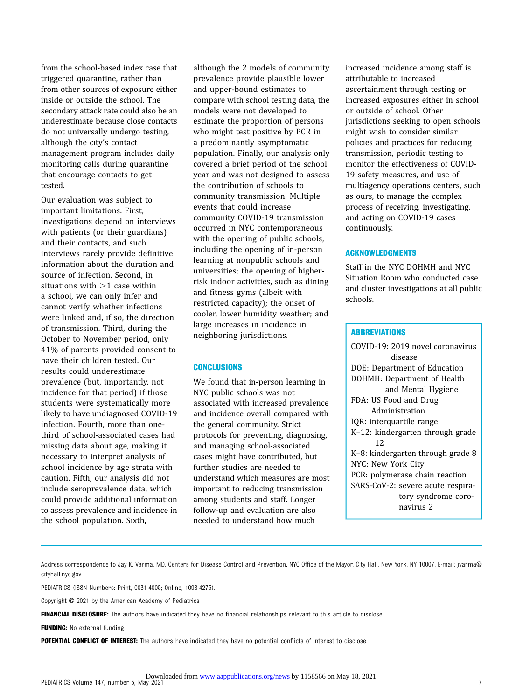from the school-based index case that triggered quarantine, rather than from other sources of exposure either inside or outside the school. The secondary attack rate could also be an underestimate because close contacts do not universally undergo testing, although the city's contact management program includes daily monitoring calls during quarantine that encourage contacts to get tested.

Our evaluation was subject to important limitations. First, investigations depend on interviews with patients (or their guardians) and their contacts, and such interviews rarely provide definitive information about the duration and source of infection. Second, in situations with  $>1$  case within a school, we can only infer and cannot verify whether infections were linked and, if so, the direction of transmission. Third, during the October to November period, only 41% of parents provided consent to have their children tested. Our results could underestimate prevalence (but, importantly, not incidence for that period) if those students were systematically more likely to have undiagnosed COVID-19 infection. Fourth, more than onethird of school-associated cases had missing data about age, making it necessary to interpret analysis of school incidence by age strata with caution. Fifth, our analysis did not include seroprevalence data, which could provide additional information to assess prevalence and incidence in the school population. Sixth,

although the 2 models of community prevalence provide plausible lower and upper-bound estimates to compare with school testing data, the models were not developed to estimate the proportion of persons who might test positive by PCR in a predominantly asymptomatic population. Finally, our analysis only covered a brief period of the school year and was not designed to assess the contribution of schools to community transmission. Multiple events that could increase community COVID-19 transmission occurred in NYC contemporaneous with the opening of public schools, including the opening of in-person learning at nonpublic schools and universities; the opening of higherrisk indoor activities, such as dining and fitness gyms (albeit with restricted capacity); the onset of cooler, lower humidity weather; and large increases in incidence in neighboring jurisdictions.

#### **CONCLUSIONS**

We found that in-person learning in NYC public schools was not associated with increased prevalence and incidence overall compared with the general community. Strict protocols for preventing, diagnosing, and managing school-associated cases might have contributed, but further studies are needed to understand which measures are most important to reducing transmission among students and staff. Longer follow-up and evaluation are also needed to understand how much

increased incidence among staff is attributable to increased ascertainment through testing or increased exposures either in school or outside of school. Other jurisdictions seeking to open schools might wish to consider similar policies and practices for reducing transmission, periodic testing to monitor the effectiveness of COVID-19 safety measures, and use of multiagency operations centers, such as ours, to manage the complex process of receiving, investigating, and acting on COVID-19 cases continuously.

#### ACKNOWLEDGMENTS

Staff in the NYC DOHMH and NYC Situation Room who conducted case and cluster investigations at all public schools.

#### **ABBREVIATIONS**

COVID-19: 2019 novel coronavirus disease DOE: Department of Education DOHMH: Department of Health and Mental Hygiene FDA: US Food and Drug Administration IQR: interquartile range K–12: kindergarten through grade 12 K–8: kindergarten through grade 8 NYC: New York City PCR: polymerase chain reaction SARS-CoV-2: severe acute respiratory syndrome coronavirus 2

Address correspondence to Jay K. Varma, MD, Centers for Disease Control and Prevention, NYC Office of the Mayor, City Hall, New York, NY 10007. E-mail: [jvarma@](mailto:jvarma@cityhall.nyc.gov) [cityhall.nyc.gov](mailto:jvarma@cityhall.nyc.gov)

PEDIATRICS (ISSN Numbers: Print, 0031-4005; Online, 1098-4275).

Copyright © 2021 by the American Academy of Pediatrics

FINANCIAL DISCLOSURE: The authors have indicated they have no financial relationships relevant to this article to disclose.

FUNDING: No external funding.

POTENTIAL CONFLICT OF INTEREST: The authors have indicated they have no potential conflicts of interest to disclose.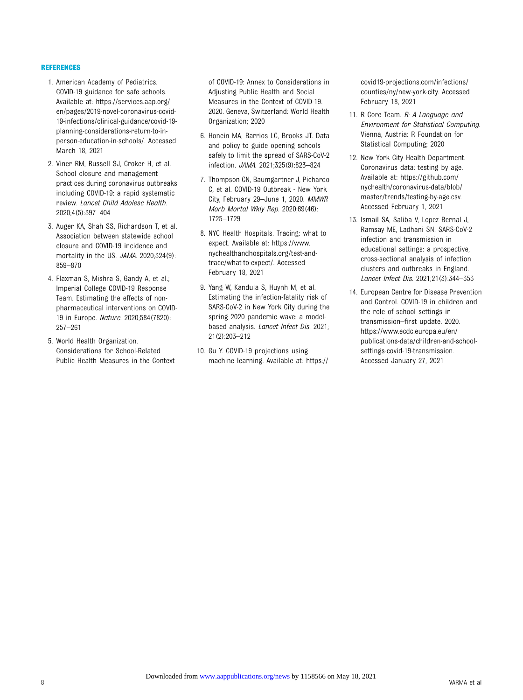#### <span id="page-7-0"></span>REFERENCES

- 1. American Academy of Pediatrics. COVID-19 guidance for safe schools. Available at: [https://services.aap.org/](https://services.aap.org/en/pages/2019-novel-coronavirus-covid-19-infections/clinical-guidance/covid-19-planning-considerations-return-to-in-person-education-in-schools/) [en/pages/2019-novel-coronavirus-covid-](https://services.aap.org/en/pages/2019-novel-coronavirus-covid-19-infections/clinical-guidance/covid-19-planning-considerations-return-to-in-person-education-in-schools/)[19-infections/clinical-guidance/covid-19](https://services.aap.org/en/pages/2019-novel-coronavirus-covid-19-infections/clinical-guidance/covid-19-planning-considerations-return-to-in-person-education-in-schools/) [planning-considerations-return-to-in](https://services.aap.org/en/pages/2019-novel-coronavirus-covid-19-infections/clinical-guidance/covid-19-planning-considerations-return-to-in-person-education-in-schools/)[person-education-in-schools/](https://services.aap.org/en/pages/2019-novel-coronavirus-covid-19-infections/clinical-guidance/covid-19-planning-considerations-return-to-in-person-education-in-schools/). Accessed March 18, 2021
- 2. Viner RM, Russell SJ, Croker H, et al. School closure and management practices during coronavirus outbreaks including COVID-19: a rapid systematic review. Lancet Child Adolesc Health. 2020;4(5):397–404
- 3. Auger KA, Shah SS, Richardson T, et al. Association between statewide school closure and COVID-19 incidence and mortality in the US. JAMA. 2020;324(9): 859–870
- 4. Flaxman S, Mishra S, Gandy A, et al.; Imperial College COVID-19 Response Team. Estimating the effects of nonpharmaceutical interventions on COVID-19 in Europe. Nature. 2020;584(7820): 257–261
- 5. World Health Organization. Considerations for School-Related Public Health Measures in the Context

of COVID-19: Annex to Considerations in Adjusting Public Health and Social Measures in the Context of COVID-19. 2020. Geneva, Switzerland: World Health Organization; 2020

- 6. Honein MA, Barrios LC, Brooks JT. Data and policy to guide opening schools safely to limit the spread of SARS-CoV-2 infection. JAMA. 2021;325(9):823–824
- 7. Thompson CN, Baumgartner J, Pichardo C, et al. COVID-19 Outbreak - New York City, February 29–June 1, 2020. MMWR Morb Mortal Wkly Rep. 2020;69(46): 1725–1729
- 8. NYC Health Hospitals. Tracing: what to expect. Available at: [https://www.](https://www.nychealthandhospitals.org/test-and-trace/what-to-expect/) [nychealthandhospitals.org/test-and](https://www.nychealthandhospitals.org/test-and-trace/what-to-expect/)[trace/what-to-expect/.](https://www.nychealthandhospitals.org/test-and-trace/what-to-expect/) Accessed February 18, 2021
- 9. Yang W, Kandula S, Huynh M, et al. Estimating the infection-fatality risk of SARS-CoV-2 in New York City during the spring 2020 pandemic wave: a modelbased analysis. Lancet Infect Dis. 2021; 21(2):203–212
- 10. Gu Y. COVID-19 projections using machine learning. Available at: [https://](https://covid19-projections.com/infections/counties/ny/new-york-city)

[covid19-projections.com/infections/](https://covid19-projections.com/infections/counties/ny/new-york-city) [counties/ny/new-york-city.](https://covid19-projections.com/infections/counties/ny/new-york-city) Accessed February 18, 2021

- 11. R Core Team. R: A Language and Environment for Statistical Computing. Vienna, Austria: R Foundation for Statistical Computing; 2020
- 12. New York City Health Department. Coronavirus data: testing by age. Available at: [https://github.com/](https://github.com/nychealth/coronavirus-data/blob/master/trends/testing-by-age.csv) [nychealth/coronavirus-data/blob/](https://github.com/nychealth/coronavirus-data/blob/master/trends/testing-by-age.csv) [master/trends/testing-by-age.csv.](https://github.com/nychealth/coronavirus-data/blob/master/trends/testing-by-age.csv) Accessed February 1, 2021
- 13. Ismail SA, Saliba V, Lopez Bernal J, Ramsay ME, Ladhani SN. SARS-CoV-2 infection and transmission in educational settings: a prospective, cross-sectional analysis of infection clusters and outbreaks in England. Lancet Infect Dis. 2021;21(3):344–353
- 14. European Centre for Disease Prevention and Control. COVID-19 in children and the role of school settings in transmission–first update. 2020. [https://www.ecdc.europa.eu/en/](https://www.ecdc.europa.eu/en/publications-data/children-and-school-settings-covid-19-transmission) [publications-data/children-and-school](https://www.ecdc.europa.eu/en/publications-data/children-and-school-settings-covid-19-transmission)[settings-covid-19-transmission.](https://www.ecdc.europa.eu/en/publications-data/children-and-school-settings-covid-19-transmission) Accessed January 27, 2021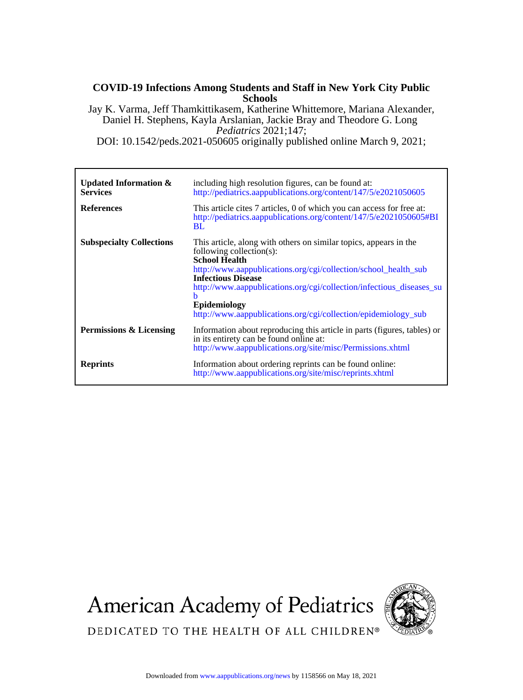# **Schools COVID-19 Infections Among Students and Staff in New York City Public**

*Pediatrics* 2021;147; Daniel H. Stephens, Kayla Arslanian, Jackie Bray and Theodore G. Long Jay K. Varma, Jeff Thamkittikasem, Katherine Whittemore, Mariana Alexander,

DOI: 10.1542/peds.2021-050605 originally published online March 9, 2021;

| <b>Updated Information &amp;</b><br><b>Services</b><br><b>References</b> | including high resolution figures, can be found at:<br>http://pediatrics.aappublications.org/content/147/5/e2021050605<br>This article cites 7 articles, 0 of which you can access for free at:<br>http://pediatrics.aappublications.org/content/147/5/e2021050605#BI<br><b>BL</b>                                                                                                   |
|--------------------------------------------------------------------------|--------------------------------------------------------------------------------------------------------------------------------------------------------------------------------------------------------------------------------------------------------------------------------------------------------------------------------------------------------------------------------------|
| <b>Subspecialty Collections</b>                                          | This article, along with others on similar topics, appears in the<br>following collection(s):<br><b>School Health</b><br>http://www.aappublications.org/cgi/collection/school health sub<br><b>Infectious Disease</b><br>http://www.aappublications.org/cgi/collection/infectious diseases su<br>h<br>Epidemiology<br>http://www.aappublications.org/cgi/collection/epidemiology_sub |
| Permissions & Licensing                                                  | Information about reproducing this article in parts (figures, tables) or<br>in its entirety can be found online at:<br>http://www.aappublications.org/site/misc/Permissions.xhtml                                                                                                                                                                                                    |
| <b>Reprints</b>                                                          | Information about ordering reprints can be found online:<br>http://www.aappublications.org/site/misc/reprints.xhtml                                                                                                                                                                                                                                                                  |

**American Academy of Pediatrics** 



DEDICATED TO THE HEALTH OF ALL CHILDREN®